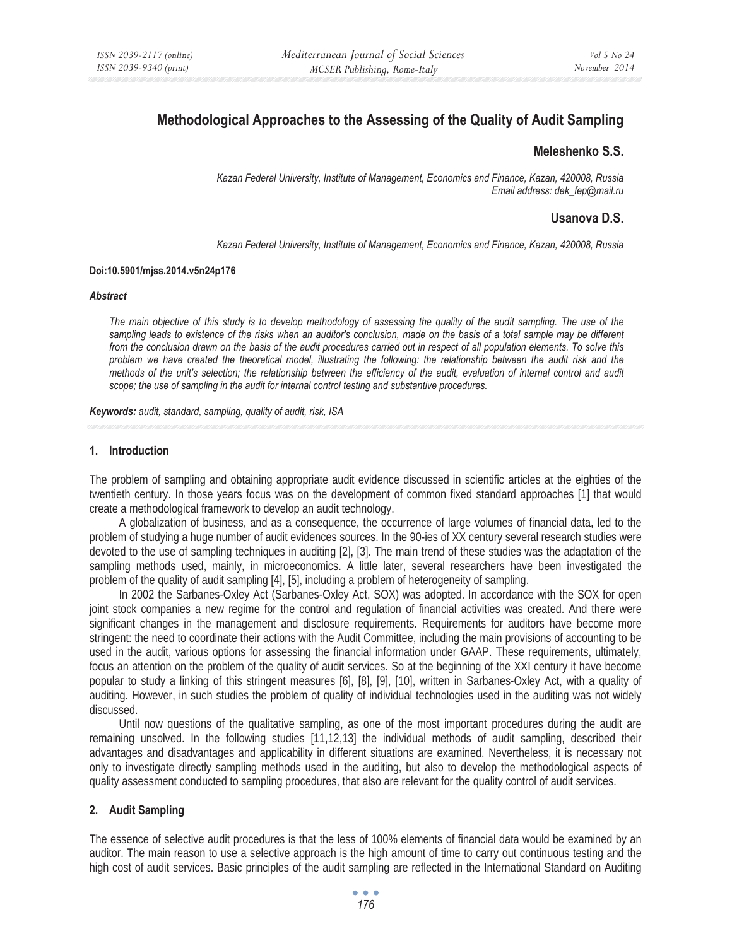# **Methodological Approaches to the Assessing of the Quality of Audit Sampling**

# **Meleshenko S.S.**

*Kazan Federal University, Institute of Management, Economics and Finance, Kazan, 420008, Russia Email address: dek\_fep@mail.ru* 

## **Usanova D.S.**

*Kazan Federal University, Institute of Management, Economics and Finance, Kazan, 420008, Russia* 

#### **Doi:10.5901/mjss.2014.v5n24p176**

#### *Abstract*

*The main objective of this study is to develop methodology of assessing the quality of the audit sampling. The use of the sampling leads to existence of the risks when an auditor's conclusion, made on the basis of a total sample may be different from the conclusion drawn on the basis of the audit procedures carried out in respect of all population elements. To solve this problem we have created the theoretical model, illustrating the following: the relationship between the audit risk and the methods of the unit's selection; the relationship between the efficiency of the audit, evaluation of internal control and audit scope; the use of sampling in the audit for internal control testing and substantive procedures.* 

*Keywords: audit, standard, sampling, quality of audit, risk, ISA*

### **1. Introduction**

The problem of sampling and obtaining appropriate audit evidence discussed in scientific articles at the eighties of the twentieth century. In those years focus was on the development of common fixed standard approaches [1] that would create a methodological framework to develop an audit technology.

A globalization of business, and as a consequence, the occurrence of large volumes of financial data, led to the problem of studying a huge number of audit evidences sources. In the 90-ies of XX century several research studies were devoted to the use of sampling techniques in auditing [2], [3]. The main trend of these studies was the adaptation of the sampling methods used, mainly, in microeconomics. A little later, several researchers have been investigated the problem of the quality of audit sampling [4], [5], including a problem of heterogeneity of sampling.

In 2002 the Sarbanes-Oxley Act (Sarbanes-Oxley Act, SOX) was adopted. In accordance with the SOX for open joint stock companies a new regime for the control and regulation of financial activities was created. And there were significant changes in the management and disclosure requirements. Requirements for auditors have become more stringent: the need to coordinate their actions with the Audit Committee, including the main provisions of accounting to be used in the audit, various options for assessing the financial information under GAAP. These requirements, ultimately, focus an attention on the problem of the quality of audit services. So at the beginning of the XXI century it have become popular to study a linking of this stringent measures [6], [8], [9], [10], written in Sarbanes-Oxley Act, with a quality of auditing. However, in such studies the problem of quality of individual technologies used in the auditing was not widely discussed.

Until now questions of the qualitative sampling, as one of the most important procedures during the audit are remaining unsolved. In the following studies [11,12,13] the individual methods of audit sampling, described their advantages and disadvantages and applicability in different situations are examined. Nevertheless, it is necessary not only to investigate directly sampling methods used in the auditing, but also to develop the methodological aspects of quality assessment conducted to sampling procedures, that also are relevant for the quality control of audit services.

#### **2. Audit Sampling**

The essence of selective audit procedures is that the less of 100% elements of financial data would be examined by an auditor. The main reason to use a selective approach is the high amount of time to carry out continuous testing and the high cost of audit services. Basic principles of the audit sampling are reflected in the International Standard on Auditing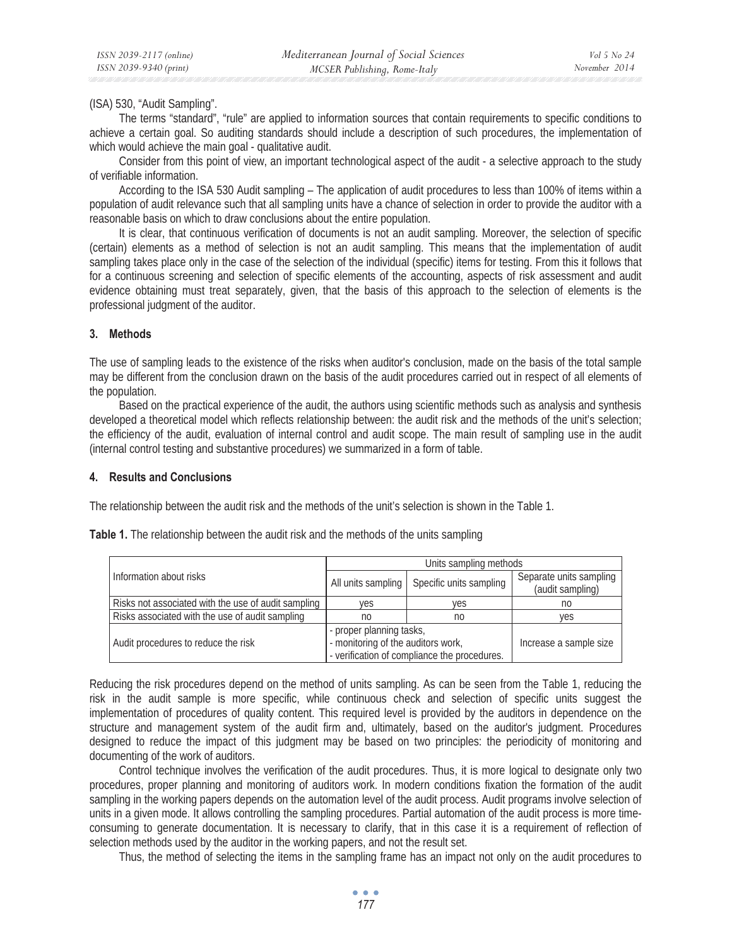(ISA) 530, "Audit Sampling".

The terms "standard", "rule" are applied to information sources that contain requirements to specific conditions to achieve a certain goal. So auditing standards should include a description of such procedures, the implementation of which would achieve the main goal - qualitative audit.

Consider from this point of view, an important technological aspect of the audit - a selective approach to the study of verifiable information.

According to the ISA 530 Audit sampling – The application of audit procedures to less than 100% of items within a population of audit relevance such that all sampling units have a chance of selection in order to provide the auditor with a reasonable basis on which to draw conclusions about the entire population.

It is clear, that continuous verification of documents is not an audit sampling. Moreover, the selection of specific (certain) elements as a method of selection is not an audit sampling. This means that the implementation of audit sampling takes place only in the case of the selection of the individual (specific) items for testing. From this it follows that for a continuous screening and selection of specific elements of the accounting, aspects of risk assessment and audit evidence obtaining must treat separately, given, that the basis of this approach to the selection of elements is the professional judgment of the auditor.

### **3. Methods**

The use of sampling leads to the existence of the risks when auditor's conclusion, made on the basis of the total sample may be different from the conclusion drawn on the basis of the audit procedures carried out in respect of all elements of the population.

Based on the practical experience of the audit, the authors using scientific methods such as analysis and synthesis developed a theoretical model which reflects relationship between: the audit risk and the methods of the unit's selection; the efficiency of the audit, evaluation of internal control and audit scope. The main result of sampling use in the audit (internal control testing and substantive procedures) we summarized in a form of table.

#### **4. Results and Conclusions**

The relationship between the audit risk and the methods of the unit's selection is shown in the Table 1.

|  | Information about risks                             | Units sampling methods                       |                         |                                             |
|--|-----------------------------------------------------|----------------------------------------------|-------------------------|---------------------------------------------|
|  |                                                     | All units sampling                           | Specific units sampling | Separate units sampling<br>(audit sampling) |
|  | Risks not associated with the use of audit sampling | ves                                          | ves                     | no                                          |
|  | Risks associated with the use of audit sampling     | no                                           | no                      | ves                                         |
|  | Audit procedures to reduce the risk                 | - proper planning tasks,                     |                         |                                             |
|  |                                                     | - monitoring of the auditors work,           |                         | Increase a sample size                      |
|  |                                                     | - verification of compliance the procedures. |                         |                                             |

**Table 1.** The relationship between the audit risk and the methods of the units sampling

Reducing the risk procedures depend on the method of units sampling. As can be seen from the Table 1, reducing the risk in the audit sample is more specific, while continuous check and selection of specific units suggest the implementation of procedures of quality content. This required level is provided by the auditors in dependence on the structure and management system of the audit firm and, ultimately, based on the auditor's judgment. Procedures designed to reduce the impact of this judgment may be based on two principles: the periodicity of monitoring and documenting of the work of auditors.

Control technique involves the verification of the audit procedures. Thus, it is more logical to designate only two procedures, proper planning and monitoring of auditors work. In modern conditions fixation the formation of the audit sampling in the working papers depends on the automation level of the audit process. Audit programs involve selection of units in a given mode. It allows controlling the sampling procedures. Partial automation of the audit process is more timeconsuming to generate documentation. It is necessary to clarify, that in this case it is a requirement of reflection of selection methods used by the auditor in the working papers, and not the result set.

Thus, the method of selecting the items in the sampling frame has an impact not only on the audit procedures to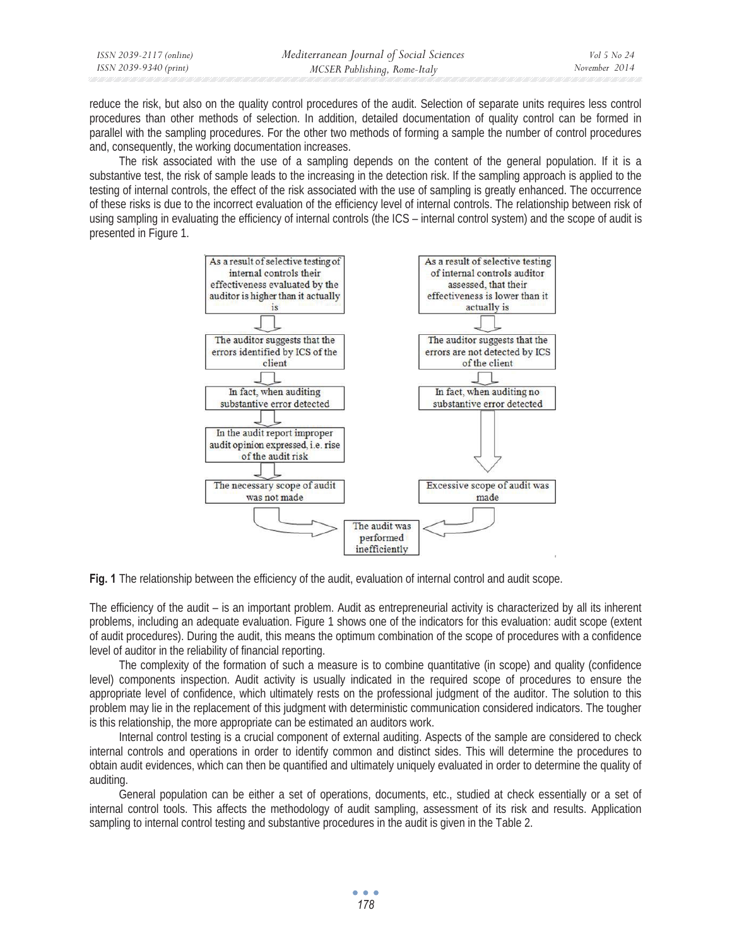| ISSN 2039-2117 (online) | Mediterranean Journal of Social Sciences | Vol 5 No 24   |
|-------------------------|------------------------------------------|---------------|
| ISSN 2039-9340 (print)  | MCSER Publishing, Rome-Italy             | November 2014 |

reduce the risk, but also on the quality control procedures of the audit. Selection of separate units requires less control procedures than other methods of selection. In addition, detailed documentation of quality control can be formed in parallel with the sampling procedures. For the other two methods of forming a sample the number of control procedures and, consequently, the working documentation increases.

The risk associated with the use of a sampling depends on the content of the general population. If it is a substantive test, the risk of sample leads to the increasing in the detection risk. If the sampling approach is applied to the testing of internal controls, the effect of the risk associated with the use of sampling is greatly enhanced. The occurrence of these risks is due to the incorrect evaluation of the efficiency level of internal controls. The relationship between risk of using sampling in evaluating the efficiency of internal controls (the ICS – internal control system) and the scope of audit is presented in Figure 1.



**Fig. 1** The relationship between the efficiency of the audit, evaluation of internal control and audit scope.

The efficiency of the audit – is an important problem. Audit as entrepreneurial activity is characterized by all its inherent problems, including an adequate evaluation. Figure 1 shows one of the indicators for this evaluation: audit scope (extent of audit procedures). During the audit, this means the optimum combination of the scope of procedures with a confidence level of auditor in the reliability of financial reporting.

The complexity of the formation of such a measure is to combine quantitative (in scope) and quality (confidence level) components inspection. Audit activity is usually indicated in the required scope of procedures to ensure the appropriate level of confidence, which ultimately rests on the professional judgment of the auditor. The solution to this problem may lie in the replacement of this judgment with deterministic communication considered indicators. The tougher is this relationship, the more appropriate can be estimated an auditors work.

Internal control testing is a crucial component of external auditing. Aspects of the sample are considered to check internal controls and operations in order to identify common and distinct sides. This will determine the procedures to obtain audit evidences, which can then be quantified and ultimately uniquely evaluated in order to determine the quality of auditing.

General population can be either a set of operations, documents, etc., studied at check essentially or a set of internal control tools. This affects the methodology of audit sampling, assessment of its risk and results. Application sampling to internal control testing and substantive procedures in the audit is given in the Table 2.